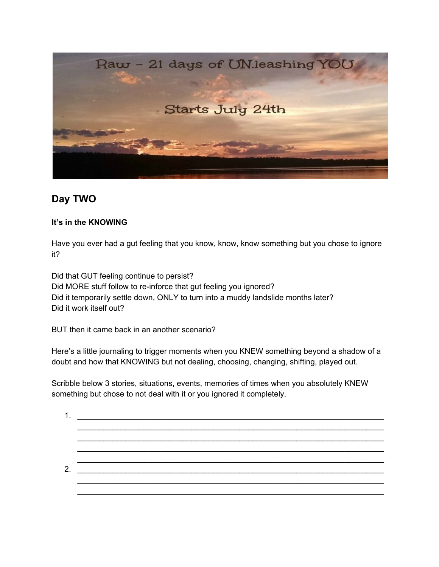

## **Day TWO**

## **It's in the KNOWING**

Have you ever had a gut feeling that you know, know, know something but you chose to ignore it?

Did that GUT feeling continue to persist? Did MORE stuff follow to re-inforce that gut feeling you ignored? Did it temporarily settle down, ONLY to turn into a muddy landslide months later? Did it work itself out?

BUT then it came back in an another scenario?

Here's a little journaling to trigger moments when you KNEW something beyond a shadow of a doubt and how that KNOWING but not dealing, choosing, changing, shifting, played out.

Scribble below 3 stories, situations, events, memories of times when you absolutely KNEW something but chose to not deal with it or you ignored it completely.

1. \_\_\_\_\_\_\_\_\_\_\_\_\_\_\_\_\_\_\_\_\_\_\_\_\_\_\_\_\_\_\_\_\_\_\_\_\_\_\_\_\_\_\_\_\_\_\_\_\_\_\_\_\_\_\_\_\_\_\_\_\_\_\_\_\_\_\_\_\_\_ \_\_\_\_\_\_\_\_\_\_\_\_\_\_\_\_\_\_\_\_\_\_\_\_\_\_\_\_\_\_\_\_\_\_\_\_\_\_\_\_\_\_\_\_\_\_\_\_\_\_\_\_\_\_\_\_\_\_\_\_\_\_\_\_\_\_\_\_\_\_ \_\_\_\_\_\_\_\_\_\_\_\_\_\_\_\_\_\_\_\_\_\_\_\_\_\_\_\_\_\_\_\_\_\_\_\_\_\_\_\_\_\_\_\_\_\_\_\_\_\_\_\_\_\_\_\_\_\_\_\_\_\_\_\_\_\_\_\_\_\_ \_\_\_\_\_\_\_\_\_\_\_\_\_\_\_\_\_\_\_\_\_\_\_\_\_\_\_\_\_\_\_\_\_\_\_\_\_\_\_\_\_\_\_\_\_\_\_\_\_\_\_\_\_\_\_\_\_\_\_\_\_\_\_\_\_\_\_\_\_\_ \_\_\_\_\_\_\_\_\_\_\_\_\_\_\_\_\_\_\_\_\_\_\_\_\_\_\_\_\_\_\_\_\_\_\_\_\_\_\_\_\_\_\_\_\_\_\_\_\_\_\_\_\_\_\_\_\_\_\_\_\_\_\_\_\_\_\_\_\_\_ 2.  $\frac{2}{2}$ \_\_\_\_\_\_\_\_\_\_\_\_\_\_\_\_\_\_\_\_\_\_\_\_\_\_\_\_\_\_\_\_\_\_\_\_\_\_\_\_\_\_\_\_\_\_\_\_\_\_\_\_\_\_\_\_\_\_\_\_\_\_\_\_\_\_\_\_\_\_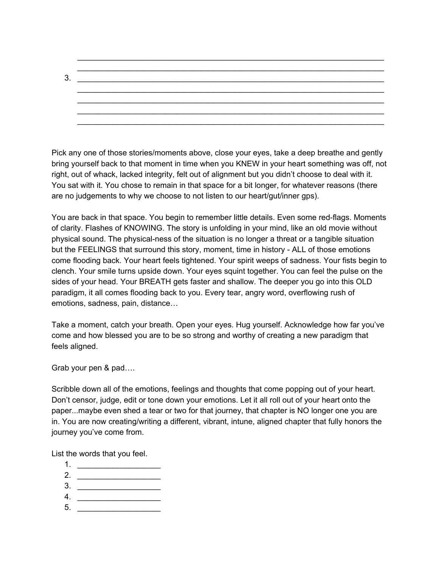\_\_\_\_\_\_\_\_\_\_\_\_\_\_\_\_\_\_\_\_\_\_\_\_\_\_\_\_\_\_\_\_\_\_\_\_\_\_\_\_\_\_\_\_\_\_\_\_\_\_\_\_\_\_\_\_\_\_\_\_\_\_\_\_\_\_\_\_\_\_ 3. \_\_\_\_\_\_\_\_\_\_\_\_\_\_\_\_\_\_\_\_\_\_\_\_\_\_\_\_\_\_\_\_\_\_\_\_\_\_\_\_\_\_\_\_\_\_\_\_\_\_\_\_\_\_\_\_\_\_\_\_\_\_\_\_\_\_\_\_\_\_ \_\_\_\_\_\_\_\_\_\_\_\_\_\_\_\_\_\_\_\_\_\_\_\_\_\_\_\_\_\_\_\_\_\_\_\_\_\_\_\_\_\_\_\_\_\_\_\_\_\_\_\_\_\_\_\_\_\_\_\_\_\_\_\_\_\_\_\_\_\_ \_\_\_\_\_\_\_\_\_\_\_\_\_\_\_\_\_\_\_\_\_\_\_\_\_\_\_\_\_\_\_\_\_\_\_\_\_\_\_\_\_\_\_\_\_\_\_\_\_\_\_\_\_\_\_\_\_\_\_\_\_\_\_\_\_\_\_\_\_\_ \_\_\_\_\_\_\_\_\_\_\_\_\_\_\_\_\_\_\_\_\_\_\_\_\_\_\_\_\_\_\_\_\_\_\_\_\_\_\_\_\_\_\_\_\_\_\_\_\_\_\_\_\_\_\_\_\_\_\_\_\_\_\_\_\_\_\_\_\_\_ \_\_\_\_\_\_\_\_\_\_\_\_\_\_\_\_\_\_\_\_\_\_\_\_\_\_\_\_\_\_\_\_\_\_\_\_\_\_\_\_\_\_\_\_\_\_\_\_\_\_\_\_\_\_\_\_\_\_\_\_\_\_\_\_\_\_\_\_\_\_

\_\_\_\_\_\_\_\_\_\_\_\_\_\_\_\_\_\_\_\_\_\_\_\_\_\_\_\_\_\_\_\_\_\_\_\_\_\_\_\_\_\_\_\_\_\_\_\_\_\_\_\_\_\_\_\_\_\_\_\_\_\_\_\_\_\_\_\_\_\_

Pick any one of those stories/moments above, close your eyes, take a deep breathe and gently bring yourself back to that moment in time when you KNEW in your heart something was off, not right, out of whack, lacked integrity, felt out of alignment but you didn't choose to deal with it. You sat with it. You chose to remain in that space for a bit longer, for whatever reasons (there are no judgements to why we choose to not listen to our heart/gut/inner gps).

You are back in that space. You begin to remember little details. Even some red-flags. Moments of clarity. Flashes of KNOWING. The story is unfolding in your mind, like an old movie without physical sound. The physical-ness of the situation is no longer a threat or a tangible situation but the FEELINGS that surround this story, moment, time in history - ALL of those emotions come flooding back. Your heart feels tightened. Your spirit weeps of sadness. Your fists begin to clench. Your smile turns upside down. Your eyes squint together. You can feel the pulse on the sides of your head. Your BREATH gets faster and shallow. The deeper you go into this OLD paradigm, it all comes flooding back to you. Every tear, angry word, overflowing rush of emotions, sadness, pain, distance…

Take a moment, catch your breath. Open your eyes. Hug yourself. Acknowledge how far you've come and how blessed you are to be so strong and worthy of creating a new paradigm that feels aligned.

Grab your pen & pad….

Scribble down all of the emotions, feelings and thoughts that come popping out of your heart. Don't censor, judge, edit or tone down your emotions. Let it all roll out of your heart onto the paper...maybe even shed a tear or two for that journey, that chapter is NO longer one you are in. You are now creating/writing a different, vibrant, intune, aligned chapter that fully honors the journey you've come from.

List the words that you feel.

- 1. \_\_\_\_\_\_\_\_\_\_\_\_\_\_\_\_\_\_\_ 2. \_\_\_\_\_\_\_\_\_\_\_\_\_\_\_\_\_\_\_
- 3. \_\_\_\_\_\_\_\_\_\_\_\_\_\_\_\_\_\_\_
- 4. \_\_\_\_\_\_\_\_\_\_\_\_\_\_\_\_\_\_\_
- 5. \_\_\_\_\_\_\_\_\_\_\_\_\_\_\_\_\_\_\_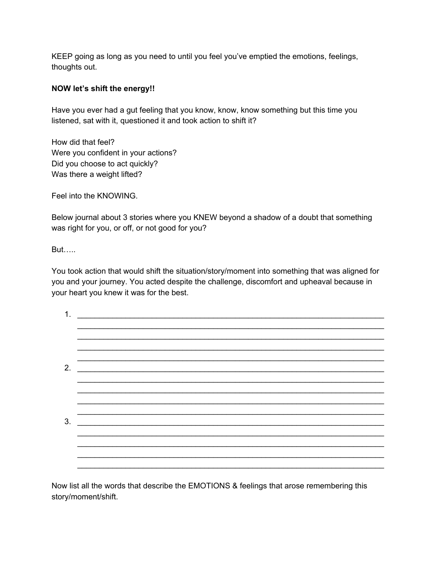KEEP going as long as you need to until you feel you've emptied the emotions, feelings, thoughts out.

## **NOW let's shift the energy!!**

Have you ever had a gut feeling that you know, know, know something but this time you listened, sat with it, questioned it and took action to shift it?

How did that feel? Were you confident in your actions? Did you choose to act quickly? Was there a weight lifted?

Feel into the KNOWING.

Below journal about 3 stories where you KNEW beyond a shadow of a doubt that something was right for you, or off, or not good for you?

But…..

You took action that would shift the situation/story/moment into something that was aligned for you and your journey. You acted despite the challenge, discomfort and upheaval because in your heart you knew it was for the best.

| 1. |                                                                |  |
|----|----------------------------------------------------------------|--|
|    |                                                                |  |
|    |                                                                |  |
|    |                                                                |  |
|    |                                                                |  |
| 2. | <u> 1989 - Johann Stein, mars et al. 1989 - Anna Barbara (</u> |  |
|    |                                                                |  |
|    |                                                                |  |
|    |                                                                |  |
|    |                                                                |  |
| 3. |                                                                |  |
|    |                                                                |  |
|    |                                                                |  |
|    |                                                                |  |
|    |                                                                |  |

Now list all the words that describe the EMOTIONS & feelings that arose remembering this story/moment/shift.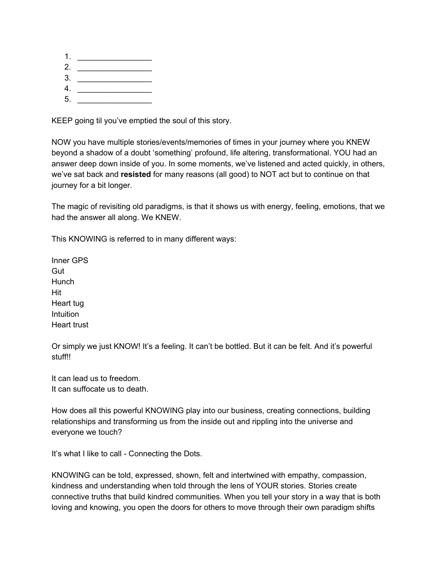1. \_\_\_\_\_\_\_\_\_\_\_\_\_\_\_\_\_ 2. \_\_\_\_\_\_\_\_\_\_\_\_\_\_\_\_\_  $3.$ 4. \_\_\_\_\_\_\_\_\_\_\_\_\_\_\_\_\_ 5. \_\_\_\_\_\_\_\_\_\_\_\_\_\_\_\_\_

KEEP going til you've emptied the soul of this story.

NOW you have multiple stories/events/memories of times in your journey where you KNEW beyond a shadow of a doubt 'something' profound, life altering, transformational. YOU had an answer deep down inside of you. In some moments, we've listened and acted quickly, in others, we've sat back and **resisted** for many reasons (all good) to NOT act but to continue on that journey for a bit longer.

The magic of revisiting old paradigms, is that it shows us with energy, feeling, emotions, that we had the answer all along. We KNEW.

This KNOWING is referred to in many different ways:

Inner GPS Gut **Hunch** Hit Heart tug **Intuition** Heart trust

Or simply we just KNOW! It's a feeling. It can't be bottled. But it can be felt. And it's powerful stuff!!

It can lead us to freedom. It can suffocate us to death.

How does all this powerful KNOWING play into our business, creating connections, building relationships and transforming us from the inside out and rippling into the universe and everyone we touch?

It's what I like to call - Connecting the Dots.

KNOWING can be told, expressed, shown, felt and intertwined with empathy, compassion, kindness and understanding when told through the lens of YOUR stories. Stories create connective truths that build kindred communities. When you tell your story in a way that is both loving and knowing, you open the doors for others to move through their own paradigm shifts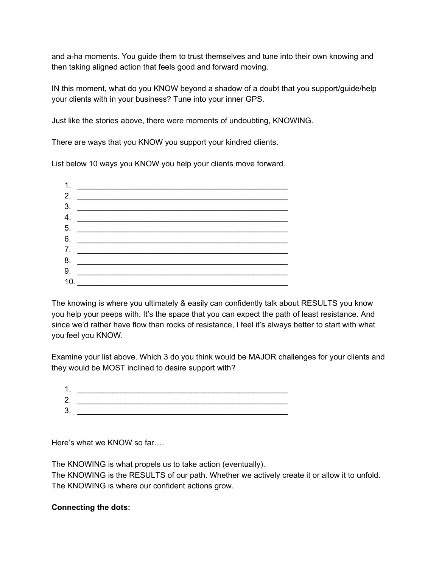and a-ha moments. You guide them to trust themselves and tune into their own knowing and then taking aligned action that feels good and forward moving.

IN this moment, what do you KNOW beyond a shadow of a doubt that you support/guide/help your clients with in your business? Tune into your inner GPS.

Just like the stories above, there were moments of undoubting, KNOWING.

There are ways that you KNOW you support your kindred clients.

List below 10 ways you KNOW you help your clients move forward.



The knowing is where you ultimately & easily can confidently talk about RESULTS you know you help your peeps with. It's the space that you can expect the path of least resistance. And since we'd rather have flow than rocks of resistance, I feel it's always better to start with what you feel you KNOW.

Examine your list above. Which 3 do you think would be MAJOR challenges for your clients and they would be MOST inclined to desire support with?

| 1. |  |
|----|--|
| 2. |  |
| 3. |  |
|    |  |

Here's what we KNOW so far….

The KNOWING is what propels us to take action (eventually).

The KNOWING is the RESULTS of our path. Whether we actively create it or allow it to unfold. The KNOWING is where our confident actions grow.

## **Connecting the dots:**